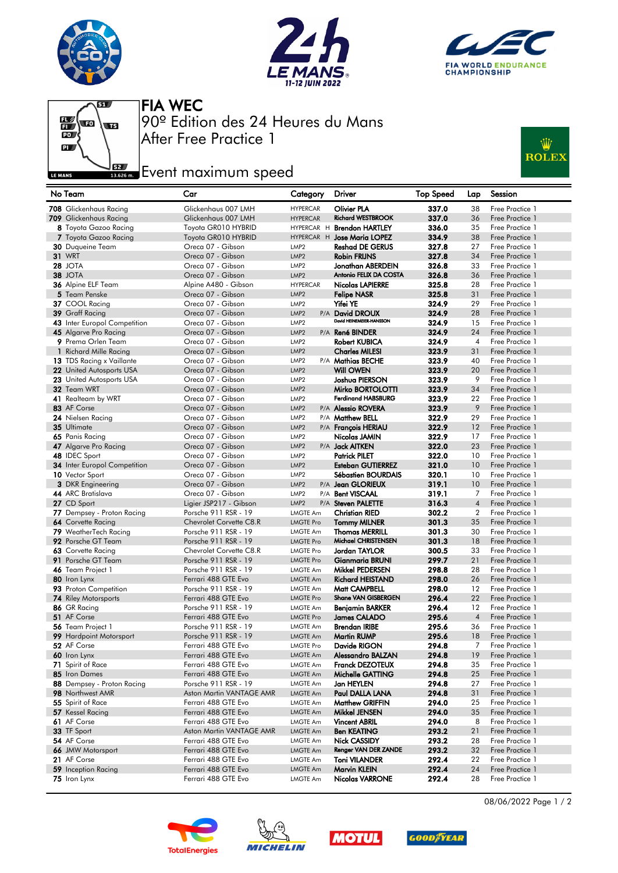







After Free Practice 1 90º Edition des 24 Heures du Mans FIA WEC

## **Example 2**<br>Issuem Event maximum speed



| No Team                                   | Car                                            | Category                             | <b>Driver</b>                               | <b>Top Speed</b> | Lap            | Session                            |
|-------------------------------------------|------------------------------------------------|--------------------------------------|---------------------------------------------|------------------|----------------|------------------------------------|
| 708 Glickenhaus Racing                    | Glickenhaus 007 LMH                            | <b>HYPERCAR</b>                      | Olivier PLA                                 | 337.0            | 38             | Free Practice 1                    |
| 709 Glickenhaus Racing                    | Glickenhaus 007 LMH                            | <b>HYPERCAR</b>                      | <b>Richard WESTBROOK</b>                    | 337.0            | 36             | Free Practice 1                    |
| 8 Toyota Gazoo Racing                     | Toyota GR010 HYBRID                            |                                      | HYPERCAR H Brendon HARTLEY                  | 336.0            | 35             | Free Practice 1                    |
| 7 Toyota Gazoo Racing                     | Toyota GR010 HYBRID                            |                                      | HYPERCAR H Jose Maria LOPEZ                 | 334.9            | 38             | Free Practice 1                    |
| 30 Duqueine Team                          | Oreca 07 - Gibson                              | LMP <sub>2</sub>                     | Reshad DE GERUS                             | 327.8            | 27             | Free Practice 1                    |
| <b>31 WRT</b>                             | Oreca 07 - Gibson                              | LMP <sub>2</sub>                     | <b>Robin FRIJNS</b>                         | 327.8            | 34             | Free Practice 1                    |
| <b>28 JOTA</b>                            | Oreca 07 - Gibson                              | LMP <sub>2</sub>                     | Jonathan ABERDEIN                           | 326.8            | 33             | Free Practice 1                    |
| 38 JOTA                                   | Oreca 07 - Gibson                              | LMP <sub>2</sub>                     | Antonio FELIX DA COSTA                      | 326.8            | 36             | Free Practice 1                    |
| 36 Alpine ELF Team                        | Alpine A480 - Gibson                           | <b>HYPERCAR</b>                      | <b>Nicolas LAPIERRE</b>                     | 325.8            | 28             | Free Practice 1                    |
| 5 Team Penske                             | Oreca 07 - Gibson                              | LMP <sub>2</sub>                     | Felipe NASR                                 | 325.8            | 31             | Free Practice 1                    |
| 37 COOL Racing                            | Oreca 07 - Gibson                              | LMP <sub>2</sub>                     | Yifei YE                                    | 324.9            | 29             | Free Practice 1                    |
| 39 Graff Racing                           | Oreca 07 - Gibson                              | LMP <sub>2</sub>                     | P/A David DROUX                             | 324.9            | 28             | Free Practice 1                    |
| 43 Inter Europol Competition              | Oreca 07 - Gibson                              | LMP <sub>2</sub>                     | David HEINEMEIER-HANSSON                    | 324.9            | 15             | Free Practice 1                    |
| 45 Algarve Pro Racing                     | Oreca 07 - Gibson                              | LMP <sub>2</sub>                     | P/A René BINDER                             | 324.9            | 24             | Free Practice 1                    |
| 9 Prema Orlen Team                        | Oreca 07 - Gibson                              | LMP <sub>2</sub>                     | Robert KUBICA                               | 324.9            | $\overline{4}$ | Free Practice 1                    |
| 1 Richard Mille Racing                    | Oreca 07 - Gibson                              | LMP <sub>2</sub>                     | <b>Charles MILESI</b>                       | 323.9            | 31             | Free Practice 1                    |
| 13 TDS Racing x Vaillante                 | Oreca 07 - Gibson                              | LMP <sub>2</sub>                     | P/A Mathias BECHE                           | 323.9            | 40             | Free Practice 1                    |
| <b>22</b> United Autosports USA           | Oreca 07 - Gibson                              | LMP <sub>2</sub>                     | <b>Will OWEN</b>                            | 323.9            | 20             | Free Practice 1                    |
| 23 United Autosports USA                  | Oreca 07 - Gibson                              | LMP <sub>2</sub>                     | Joshua PIERSON                              | 323.9            | 9              | Free Practice 1                    |
| 32 Team WRT                               | Oreca 07 - Gibson                              | LMP <sub>2</sub>                     | Mirko BORTOLOTTI                            | 323.9            | 34             | Free Practice 1                    |
| 41 Realteam by WRT                        | Oreca 07 - Gibson                              | LMP <sub>2</sub>                     | <b>Ferdinand HABSBURG</b>                   | 323.9            | 22             | Free Practice 1                    |
| 83 AF Corse                               | Oreca 07 - Gibson                              | LMP <sub>2</sub>                     | P/A Alessio ROVERA                          | 323.9            | 9              | Free Practice 1                    |
| 24 Nielsen Racing                         | Oreca 07 - Gibson                              | LMP <sub>2</sub>                     | P/A Matthew BELL                            | 322.9            | 29             | Free Practice 1                    |
| 35 Ultimate                               | Oreca 07 - Gibson                              | LMP <sub>2</sub>                     | P/A François HERIAU                         | 322.9            | 12             | Free Practice 1                    |
| 65 Panis Racing                           | Oreca 07 - Gibson                              | LMP <sub>2</sub>                     | Nicolas JAMIN                               | 322.9            | 17             | Free Practice 1                    |
| 47 Algarve Pro Racing                     | Oreca 07 - Gibson                              | LMP <sub>2</sub>                     | P/A <b>Jack AITKEN</b>                      | 322.0            | 23             | Free Practice 1                    |
| 48 IDEC Sport                             | Oreca 07 - Gibson                              | LMP <sub>2</sub>                     | Patrick PILET                               | 322.0            | 10             | Free Practice 1                    |
| <b>34</b> Inter Europol Competition       | Oreca 07 - Gibson                              | LMP <sub>2</sub>                     | <b>Esteban GUTIERREZ</b>                    | 321.0            | 10             | Free Practice 1                    |
| 10 Vector Sport                           | Oreca 07 - Gibson                              | LMP <sub>2</sub>                     | Sébastien BOURDAIS                          | 320.1            | 10             | Free Practice 1                    |
| <b>3</b> DKR Engineering                  | Oreca 07 - Gibson                              | LMP <sub>2</sub>                     | P/A Jean GLORIEUX                           | 319.1            | 10<br>7        | Free Practice 1                    |
| 44 ARC Bratislava                         | Oreca 07 - Gibson                              | LMP <sub>2</sub><br>LMP <sub>2</sub> | P/A Bent VISCAAL                            | 319.1            | $\overline{4}$ | Free Practice 1<br>Free Practice 1 |
| 27 CD Sport<br>77 Dempsey - Proton Racing | Ligier JSP217 - Gibson<br>Porsche 911 RSR - 19 |                                      | P/A Steven PALETTE<br><b>Christian RIED</b> | 316.3<br>302.2   | $\overline{2}$ | Free Practice 1                    |
| 64 Corvette Racing                        | Chevrolet Corvette C8.R                        | <b>LMGTE Am</b><br><b>LMGTE Pro</b>  | <b>Tommy MILNER</b>                         | 301.3            | 35             | Free Practice 1                    |
| 79 WeatherTech Racing                     | Porsche 911 RSR - 19                           | <b>LMGTE Am</b>                      | <b>Thomas MERRILL</b>                       | 301.3            | 30             | Free Practice 1                    |
| 92 Porsche GT Team                        | Porsche 911 RSR - 19                           | <b>LMGTE Pro</b>                     | Michael CHRISTENSEN                         | 301.3            | 18             | Free Practice 1                    |
| 63 Corvette Racing                        | Chevrolet Corvette C8.R                        | <b>LMGTE Pro</b>                     | Jordan TAYLOR                               | 300.5            | 33             | Free Practice 1                    |
| 91 Porsche GT Team                        | Porsche 911 RSR - 19                           | <b>LMGTE Pro</b>                     | Gianmaria BRUNI                             | 299.7            | 21             | Free Practice 1                    |
| 46 Team Project 1                         | Porsche 911 RSR - 19                           | <b>LMGTE Am</b>                      | Mikkel PEDERSEN                             | 298.8            | 28             | Free Practice 1                    |
| 80 Iron Lynx                              | Ferrari 488 GTE Evo                            | <b>LMGTE Am</b>                      | Richard HEISTAND                            | 298.0            | 26             | Free Practice 1                    |
| 93 Proton Competition                     | Porsche 911 RSR - 19                           | <b>LMGTE Am</b>                      | Matt CAMPBELL                               | 298.0            | 12             | Free Practice 1                    |
| <b>74 Riley Motorsports</b>               | Ferrari 488 GTE Evo                            | <b>LMGTE Pro</b>                     | Shane VAN GISBERGEN                         | 296.4            | 22             | Free Practice 1                    |
| 86 GR Racing                              | Porsche 911 RSR - 19                           | <b>LMGTE Am</b>                      | Benjamin BARKER                             | 296.4            | 12             | Free Practice 1                    |
| 51 AF Corse                               | Ferrari 488 GTE Evo                            | <b>LMGTE Pro</b>                     | James CALADO                                | 295.6            | $\overline{4}$ | Free Practice 1                    |
| 56 Team Project 1                         | Porsche 911 RSR - 19                           | <b>LMGTE Am</b>                      | Brendan IRIBE                               | 295.6            | 36             | Free Practice 1                    |
| 99 Hardpoint Motorsport                   | Porsche 911 RSR - 19                           | <b>LMGTE Am</b>                      | <b>Martin RUMP</b>                          | 295.6            | 18             | Free Practice 1                    |
| 52 AF Corse                               | Ferrari 488 GTE Evo                            | <b>LMGTE Pro</b>                     | Davide RIGON                                | 294.8            | 7              | Free Practice 1                    |
| 60 Iron Lynx                              | Ferrari 488 GTE Evo                            | LMGTE Am                             | <b>Alessandro BALZAN</b>                    | 294.8            | 19             | Free Practice 1                    |
| 71 Spirit of Race                         | Ferrari 488 GTE Evo                            | LMGTE Am                             | Franck DEZOTEUX                             | 294.8            | 35             | Free Practice 1                    |
| 85 Iron Dames                             | Ferrari 488 GTE Evo                            | LMGTE Am                             | Michelle GATTING                            | 294.8            | 25             | Free Practice 1                    |
| 88 Dempsey - Proton Racing                | Porsche 911 RSR - 19                           | LMGTE Am                             | Jan HEYLEN                                  | 294.8            | 27             | Free Practice 1                    |
| 98 Northwest AMR                          | Aston Martin VANTAGE AMR                       | <b>LMGTE Am</b>                      | Paul DALLA LANA                             | 294.8            | 31             | Free Practice 1                    |
| 55 Spirit of Race                         | Ferrari 488 GTE Evo                            | <b>LMGTE Am</b>                      | <b>Matthew GRIFFIN</b>                      | 294.0            | 25             | Free Practice 1                    |
| 57 Kessel Racing                          | Ferrari 488 GTE Evo                            | <b>LMGTE Am</b>                      | Mikkel JENSEN                               | 294.0            | 35             | Free Practice 1                    |
| 61 AF Corse                               | Ferrari 488 GTE Evo                            | LMGTE Am                             | <b>Vincent ABRIL</b>                        | 294.0            | 8              | Free Practice 1                    |
| 33 TF Sport                               | Aston Martin VANTAGE AMR                       | <b>LMGTE Am</b>                      | Ben KEATING                                 | 293.2            | 21             | Free Practice 1                    |
| 54 AF Corse                               | Ferrari 488 GTE Evo                            | <b>LMGTE Am</b>                      | Nick CASSIDY                                | 293.2            | 28             | Free Practice 1                    |
| 66 JMW Motorsport                         | Ferrari 488 GTE Evo                            | <b>LMGTE Am</b>                      | Renger VAN DER ZANDE                        | 293.2            | 32             | Free Practice 1                    |
| 21 AF Corse                               | Ferrari 488 GTE Evo                            | LMGTE Am                             | Toni VILANDER                               | 292.4            | 22             | Free Practice 1                    |
| 59 Inception Racing                       | Ferrari 488 GTE Evo                            | LMGTE Am                             | <b>Marvin KLEIN</b>                         | 292.4            | 24             | Free Practice 1                    |
| 75 Iron Lynx                              | Ferrari 488 GTE Evo                            | LMGTE Am                             | <b>Nicolas VARRONE</b>                      | 292.4            | 28             | Free Practice 1                    |









08/06/2022 Page 1 / 2